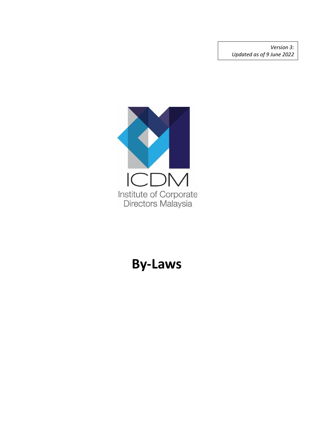*Version 3: Updated as of 9 June 2022*



# **By-Laws**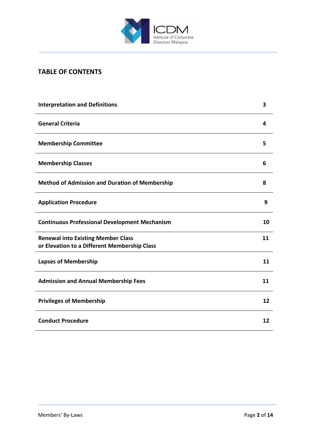

# **TABLE OF CONTENTS**

| <b>Interpretation and Definitions</b>                                                     | 3  |
|-------------------------------------------------------------------------------------------|----|
| <b>General Criteria</b>                                                                   | 4  |
| <b>Membership Committee</b>                                                               | 5  |
| <b>Membership Classes</b>                                                                 | 6  |
| <b>Method of Admission and Duration of Membership</b>                                     | 8  |
| <b>Application Procedure</b>                                                              | 9  |
| <b>Continuous Professional Development Mechanism</b>                                      | 10 |
| <b>Renewal into Existing Member Class</b><br>or Elevation to a Different Membership Class | 11 |
| <b>Lapses of Membership</b>                                                               | 11 |
| <b>Admission and Annual Membership Fees</b>                                               | 11 |
| <b>Privileges of Membership</b>                                                           | 12 |
| <b>Conduct Procedure</b>                                                                  | 12 |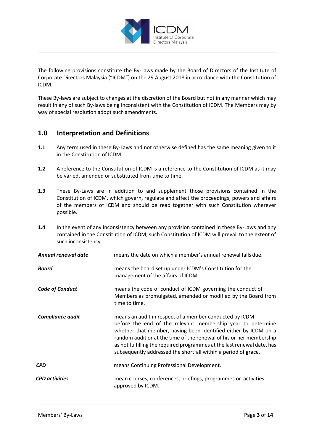

The following provisions constitute the By-Laws made by the Board of Directors of the Institute of Corporate Directors Malaysia ("ICDM") on the 29 August 2018 in accordance with the Constitution of ICDM.

These By-laws are subject to changes at the discretion of the Board but not in any manner which may result in any of such By-laws being inconsistent with the Constitution of ICDM. The Members may by way of special resolution adopt such amendments.

# **1.0 Interpretation and Definitions**

- **1.1** Any term used in these By-Laws and not otherwise defined has the same meaning given to it in the Constitution of ICDM.
- **1.2** A reference to the Constitution of ICDM is a reference to the Constitution of ICDM as it may be varied, amended or substituted from time to time.
- **1.3** These By-Laws are in addition to and supplement those provisions contained in the Constitution of ICDM, which govern, regulate and affect the proceedings, powers and affairs of the members of ICDM and should be read together with such Constitution wherever possible.
- **1.4** In the event of any inconsistency between any provision contained in these By-Laws and any contained in the Constitution of ICDM, such Constitution of ICDM will prevail to the extent of such inconsistency.

| Annual renewal date     | means the date on which a member's annual renewal falls due.                                                                                                                                                                                                                                                                                                                                                  |
|-------------------------|---------------------------------------------------------------------------------------------------------------------------------------------------------------------------------------------------------------------------------------------------------------------------------------------------------------------------------------------------------------------------------------------------------------|
| <b>Board</b>            | means the board set up under ICDM's Constitution for the<br>management of the affairs of ICDM.                                                                                                                                                                                                                                                                                                                |
| <b>Code of Conduct</b>  | means the code of conduct of ICDM governing the conduct of<br>Members as promulgated, amended or modified by the Board from<br>time to time.                                                                                                                                                                                                                                                                  |
| <b>Compliance audit</b> | means an audit in respect of a member conducted by ICDM<br>before the end of the relevant membership year to determine<br>whether that member, having been identified either by ICDM on a<br>random audit or at the time of the renewal of his or her membership<br>as not fulfilling the required programmes at the last renewal date, has<br>subsequently addressed the shortfall within a period of grace. |
| <b>CPD</b>              | means Continuing Professional Development.                                                                                                                                                                                                                                                                                                                                                                    |
| <b>CPD</b> activities   | mean courses, conferences, briefings, programmes or activities<br>approved by ICDM.                                                                                                                                                                                                                                                                                                                           |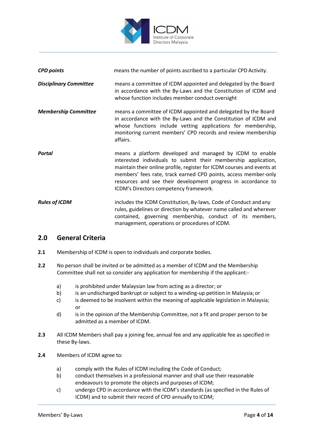

| <b>CPD points</b>             | means the number of points ascribed to a particular CPD Activity.                                                                                                                                                                                                                                                                                                                  |
|-------------------------------|------------------------------------------------------------------------------------------------------------------------------------------------------------------------------------------------------------------------------------------------------------------------------------------------------------------------------------------------------------------------------------|
| <b>Disciplinary Committee</b> | means a committee of ICDM appointed and delegated by the Board<br>in accordance with the By-Laws and the Constitution of ICDM and<br>whose function includes member conduct oversight                                                                                                                                                                                              |
| <b>Membership Committee</b>   | means a committee of ICDM appointed and delegated by the Board<br>in accordance with the By-Laws and the Constitution of ICDM and<br>whose functions include vetting applications for membership,<br>monitoring current members' CPD records and review membership<br>affairs.                                                                                                     |
| <b>Portal</b>                 | means a platform developed and managed by ICDM to enable<br>interested individuals to submit their membership application,<br>maintain their online profile, register for ICDM courses and events at<br>members' fees rate, track earned CPD points, access member-only<br>resources and see their development progress in accordance to<br>ICDM's Directors competency framework. |
| <b>Rules of ICDM</b>          | includes the ICDM Constitution, By-laws, Code of Conduct and any<br>rules, guidelines or direction by whatever name called and wherever<br>contained, governing membership, conduct of its members,<br>management, operations or procedures of ICDM.                                                                                                                               |

## **2.0 General Criteria**

- **2.1** Membership of ICDM is open to individuals and corporate bodies.
- **2.2** No person shall be invited or be admitted as a member of ICDM and the Membership Committee shall not so consider any application for membership if the applicant:
	- a) is prohibited under Malaysian law from acting as a director; or
	- b) is an undischarged bankrupt or subject to a winding-up petition in Malaysia; or
	- c) is deemed to be insolvent within the meaning of applicable legislation in Malaysia; or
	- d) is in the opinion of the Membership Committee, not a fit and proper person to be admitted as a member of ICDM.
- **2.3** All ICDM Members shall pay a joining fee, annual fee and any applicable fee as specified in these By-laws.
- **2.4** Members of ICDM agree to:
	- a) comply with the Rules of ICDM including the Code of Conduct;
	- b) conduct themselves in a professional manner and shall use their reasonable endeavours to promote the objects and purposes of ICDM;
	- c) undergo CPD in accordance with the ICDM's standards (as specified in the Rules of ICDM) and to submit their record of CPD annually to ICDM;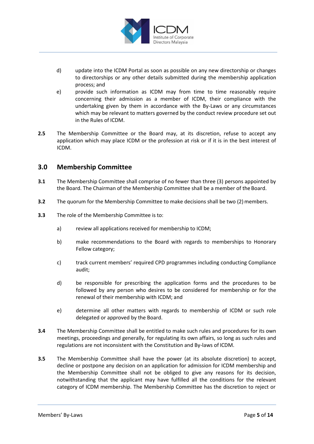

- d) update into the ICDM Portal as soon as possible on any new directorship or changes to directorships or any other details submitted during the membership application process; and
- e) provide such information as ICDM may from time to time reasonably require concerning their admission as a member of ICDM, their compliance with the undertaking given by them in accordance with the By-Laws or any circumstances which may be relevant to matters governed by the conduct review procedure set out in the Rules of ICDM.
- **2.5** The Membership Committee or the Board may, at its discretion, refuse to accept any application which may place ICDM or the profession at risk or if it is in the best interest of ICDM.

## **3.0 Membership Committee**

- **3.1** The Membership Committee shall comprise of no fewer than three (3) persons appointed by the Board. The Chairman of the Membership Committee shall be a member of the Board.
- **3.2** The quorum for the Membership Committee to make decisions shall be two (2) members.
- **3.3** The role of the Membership Committee is to:
	- a) review all applications received for membership to ICDM;
	- b) make recommendations to the Board with regards to memberships to Honorary Fellow category;
	- c) track current members' required CPD programmes including conducting Compliance audit;
	- d) be responsible for prescribing the application forms and the procedures to be followed by any person who desires to be considered for membership or for the renewal of their membership with ICDM; and
	- e) determine all other matters with regards to membership of ICDM or such role delegated or approved by the Board.
- **3.4** The Membership Committee shall be entitled to make such rules and procedures for its own meetings, proceedings and generally, for regulating its own affairs, so long as such rules and regulations are not inconsistent with the Constitution and By-laws of ICDM.
- **3.5** The Membership Committee shall have the power (at its absolute discretion) to accept, decline or postpone any decision on an application for admission for ICDM membership and the Membership Committee shall not be obliged to give any reasons for its decision, notwithstanding that the applicant may have fulfilled all the conditions for the relevant category of ICDM membership. The Membership Committee has the discretion to reject or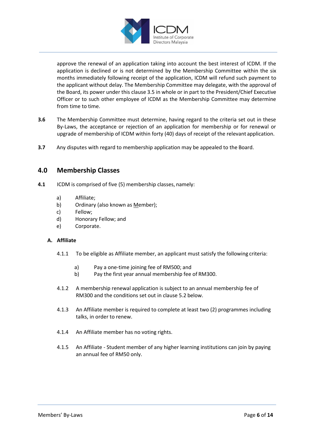

approve the renewal of an application taking into account the best interest of ICDM. If the application is declined or is not determined by the Membership Committee within the six months immediately following receipt of the application, ICDM will refund such payment to the applicant without delay. The Membership Committee may delegate, with the approval of the Board, its power under this clause 3.5 in whole or in part to the President/Chief Executive Officer or to such other employee of ICDM as the Membership Committee may determine from time to time.

- **3.6** The Membership Committee must determine, having regard to the criteria set out in these By-Laws, the acceptance or rejection of an application for membership or for renewal or upgrade of membership of ICDM within forty (40) days of receipt of the relevant application.
- **3.7** Any disputes with regard to membership application may be appealed to the Board.

# **4.0 Membership Classes**

- **4.1** ICDM is comprised of five (5) membership classes, namely:
	- a) Affiliate;
	- b) Ordinary (also known as Member);
	- c) Fellow;
	- d) Honorary Fellow; and
	- e) Corporate.

## **A. Affiliate**

- 4.1.1 To be eligible as Affiliate member, an applicant must satisfy the following criteria:
	- a) Pay a one-time joining fee of RM500; and
	- b) Pay the first year annual membership fee of RM300.
- 4.1.2 A membership renewal application is subject to an annual membership fee of RM300 and the conditions set out in clause 5.2 below.
- 4.1.3 An Affiliate member is required to complete at least two (2) programmes including talks, in order to renew.
- 4.1.4 An Affiliate member has no voting rights.
- 4.1.5 An Affiliate Student member of any higher learning institutions can join by paying an annual fee of RM50 only.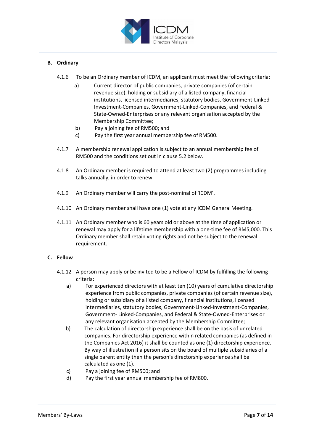

## **B. Ordinary**

- 4.1.6 To be an Ordinary member of ICDM, an applicant must meet the following criteria:
	- a) Current director of public companies, private companies (of certain revenue size), holding or subsidiary of a listed company, financial institutions, licensed intermediaries, statutory bodies, Government-Linked-Investment-Companies, Government-Linked-Companies, and Federal & State-Owned-Enterprises or any relevant organisation accepted by the Membership Committee;
	- b) Pay a joining fee of RM500; and
	- c) Pay the first year annual membership fee of RM500.
- 4.1.7 A membership renewal application is subject to an annual membership fee of RM500 and the conditions set out in clause 5.2 below.
- 4.1.8 An Ordinary member is required to attend at least two (2) programmes including talks annually, in order to renew.
- 4.1.9 An Ordinary member will carry the post-nominal of 'ICDM'.
- 4.1.10 An Ordinary member shall have one (1) vote at any ICDM General Meeting.
- 4.1.11 An Ordinary member who is 60 years old or above at the time of application or renewal may apply for a lifetime membership with a one-time fee of RM5,000. This Ordinary member shall retain voting rights and not be subject to the renewal requirement.

## **C. Fellow**

- 4.1.12 A person may apply or be invited to be a Fellow of ICDM by fulfilling the following criteria:
	- a) For experienced directors with at least ten (10) years of cumulative directorship experience from public companies, private companies (of certain revenue size), holding or subsidiary of a listed company, financial institutions, licensed intermediaries, statutory bodies, Government-Linked-Investment-Companies, Government- Linked-Companies, and Federal & State-Owned-Enterprises or any relevant organisation accepted by the Membership Committee;
	- b) The calculation of directorship experience shall be on the basis of unrelated companies. For directorship experience within related companies (as defined in the Companies Act 2016) it shall be counted as one (1) directorship experience. By way of illustration if a person sits on the board of multiple subsidiaries of a single parent entity then the person's directorship experience shall be calculated as one (1).
	- c) Pay a joining fee of RM500; and
	- d) Pay the first year annual membership fee of RM800.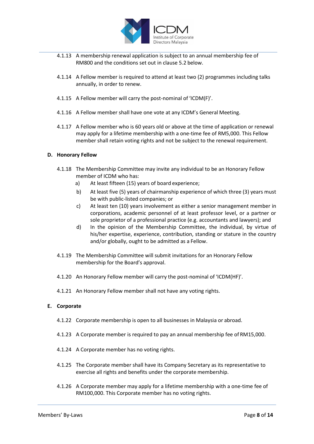

- 4.1.13 A membership renewal application is subject to an annual membership fee of RM800 and the conditions set out in clause 5.2 below.
- 4.1.14 A Fellow member is required to attend at least two (2) programmes including talks annually, in order to renew.
- 4.1.15 A Fellow member will carry the post-nominal of 'ICDM(F)'.
- 4.1.16 A Fellow member shall have one vote at any ICDM's General Meeting.
- 4.1.17 A Fellow member who is 60 years old or above at the time of application or renewal may apply for a lifetime membership with a one-time fee of RM5,000. This Fellow member shall retain voting rights and not be subject to the renewal requirement.

#### **D. Honorary Fellow**

- 4.1.18 The Membership Committee may invite any individual to be an Honorary Fellow member of ICDM who has:
	- a) At least fifteen (15) years of board experience;
	- b) At least five (5) years of chairmanship experience of which three (3) years must be with public-listed companies; or
	- c) At least ten (10) years involvement as either a senior management member in corporations, academic personnel of at least professor level, or a partner or sole proprietor of a professional practice (e.g. accountants and lawyers); and
	- d) In the opinion of the Membership Committee, the individual, by virtue of his/her expertise, experience, contribution, standing or stature in the country and/or globally, ought to be admitted as a Fellow.
- 4.1.19 The Membership Committee will submit invitations for an Honorary Fellow membership for the Board's approval.
- 4.1.20 An Honorary Fellow member will carry the post-nominal of 'ICDM(HF)'.
- 4.1.21 An Honorary Fellow member shall not have any voting rights.

#### **E. Corporate**

- 4.1.22 Corporate membership is open to all businesses in Malaysia or abroad.
- 4.1.23 A Corporate member is required to pay an annual membership fee of RM15,000.
- 4.1.24 A Corporate member has no voting rights.
- 4.1.25 The Corporate member shall have its Company Secretary as its representative to exercise all rights and benefits under the corporate membership.
- 4.1.26 A Corporate member may apply for a lifetime membership with a one-time fee of RM100,000. This Corporate member has no voting rights.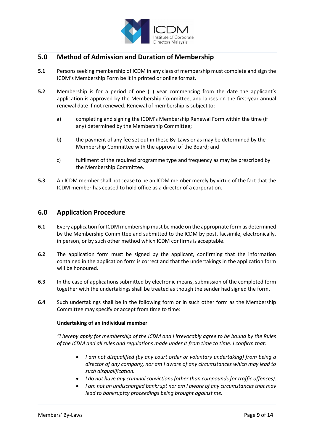

# **5.0 Method of Admission and Duration of Membership**

- **5.1** Persons seeking membership of ICDM in any class of membership must complete and sign the ICDM's Membership Form be it in printed or online format.
- **5.2** Membership is for a period of one (1) year commencing from the date the applicant's application is approved by the Membership Committee, and lapses on the first-year annual renewal date if not renewed. Renewal of membership is subject to:
	- a) completing and signing the ICDM's Membership Renewal Form within the time (if any) determined by the Membership Committee;
	- b) the payment of any fee set out in these By-Laws or as may be determined by the Membership Committee with the approval of the Board; and
	- c) fulfilment of the required programme type and frequency as may be prescribed by the Membership Committee.
- **5.3** An ICDM member shall not cease to be an ICDM member merely by virtue of the fact that the ICDM member has ceased to hold office as a director of a corporation.

## **6.0 Application Procedure**

- **6.1** Every application for ICDM membership must be made on the appropriate form as determined by the Membership Committee and submitted to the ICDM by post, facsimile, electronically, in person, or by such other method which ICDM confirms is acceptable.
- **6.2** The application form must be signed by the applicant, confirming that the information contained in the application form is correct and that the undertakings in the application form will be honoured.
- **6.3** In the case of applications submitted by electronic means, submission of the completed form together with the undertakings shall be treated as though the sender had signed the form.
- **6.4** Such undertakings shall be in the following form or in such other form as the Membership Committee may specify or accept from time to time:

## **Undertaking of an individual member**

*"I hereby apply for membership of the ICDM and I irrevocably agree to be bound by the Rules of the ICDM and all rules and regulations made under it from time to time. I confirm that:*

- *I am not disqualified (by any court order or voluntary undertaking) from being a director of any company, nor am I aware of any circumstances which may lead to such disqualification.*
- *I do not have any criminal convictions (other than compounds for traffic offences).*
- *I am not an undischarged bankrupt nor am I aware of any circumstances that may lead to bankruptcy proceedings being brought against me.*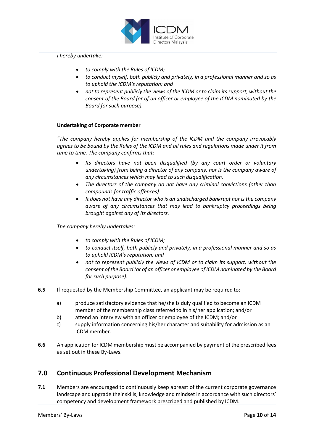

#### *I hereby undertake:*

- *to comply with the Rules of ICDM;*
- *to conduct myself, both publicly and privately, in a professional manner and so as to uphold the ICDM's reputation; and*
- *not to represent publicly the views of the ICDM or to claim its support, without the consent of the Board (or of an officer or employee of the ICDM nominated by the Board for such purpose).*

#### **Undertaking of Corporate member**

*"The company hereby applies for membership of the ICDM and the company irrevocably agrees to be bound by the Rules of the ICDM and all rules and regulations made under it from time to time. The company confirms that:*

- *Its directors have not been disqualified (by any court order or voluntary undertaking) from being a director of any company, nor is the company aware of any circumstances which may lead to such disqualification.*
- *The directors of the company do not have any criminal convictions (other than compounds for traffic offences).*
- *It does not have any director who is an undischarged bankrupt nor is the company aware of any circumstances that may lead to bankruptcy proceedings being brought against any of its directors.*

*The company hereby undertakes:*

- *to comply with the Rules of ICDM;*
- *to conduct itself, both publicly and privately, in a professional manner and so as to uphold ICDM's reputation; and*
- *not to represent publicly the views of ICDM or to claim its support, without the consent of the Board (or of an officer or employee of ICDM nominated by the Board for such purpose).*
- **6.5** If requested by the Membership Committee, an applicant may be required to:
	- a) produce satisfactory evidence that he/she is duly qualified to become an ICDM member of the membership class referred to in his/her application; and/or
	- b) attend an interview with an officer or employee of the ICDM; and/or
	- c) supply information concerning his/her character and suitability for admission as an ICDM member.
- **6.6** An application for ICDM membership must be accompanied by payment of the prescribed fees as set out in these By-Laws.

## **7.0 Continuous Professional Development Mechanism**

**7.1** Members are encouraged to continuously keep abreast of the current corporate governance landscape and upgrade their skills, knowledge and mindset in accordance with such directors' competency and development framework prescribed and published by ICDM.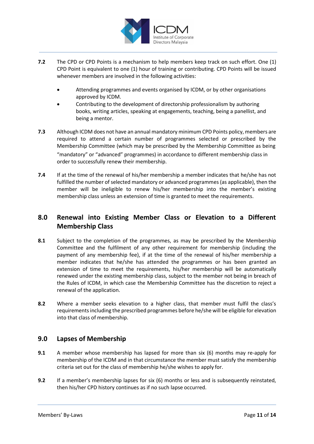

- **7.2** The CPD or CPD Points is a mechanism to help members keep track on such effort. One (1) CPD Point is equivalent to one (1) hour of training or contributing. CPD Points will be issued whenever members are involved in the following activities:
	- Attending programmes and events organised by ICDM, or by other organisations approved by ICDM.
	- Contributing to the development of directorship professionalism by authoring books, writing articles, speaking at engagements, teaching, being a panellist, and being a mentor.
- **7.3** Although ICDM does not have an annual mandatory minimum CPD Points policy, members are required to attend a certain number of programmes selected or prescribed by the Membership Committee (which may be prescribed by the Membership Committee as being "mandatory" or "advanced" programmes) in accordance to different membership class in order to successfully renew their membership.
- **7.4** If at the time of the renewal of his/her membership a member indicates that he/she has not fulfilled the number of selected mandatory or advanced programmes (as applicable), then the member will be ineligible to renew his/her membership into the member's existing membership class unless an extension of time is granted to meet the requirements.

# **8.0 Renewal into Existing Member Class or Elevation to a Different Membership Class**

- **8.1** Subject to the completion of the programmes, as may be prescribed by the Membership Committee and the fulfilment of any other requirement for membership (including the payment of any membership fee), if at the time of the renewal of his/her membership a member indicates that he/she has attended the programmes or has been granted an extension of time to meet the requirements, his/her membership will be automatically renewed under the existing membership class, subject to the member not being in breach of the Rules of ICDM, in which case the Membership Committee has the discretion to reject a renewal of the application.
- **8.2** Where a member seeks elevation to a higher class, that member must fulfil the class's requirements including the prescribed programmes before he/she will be eligible for elevation into that class of membership.

# **9.0 Lapses of Membership**

- **9.1** A member whose membership has lapsed for more than six (6) months may re-apply for membership of the ICDM and in that circumstance the member must satisfy the membership criteria set out for the class of membership he/she wishes to apply for.
- **9.2** If a member's membership lapses for six (6) months or less and is subsequently reinstated, then his/her CPD history continues as if no such lapse occurred.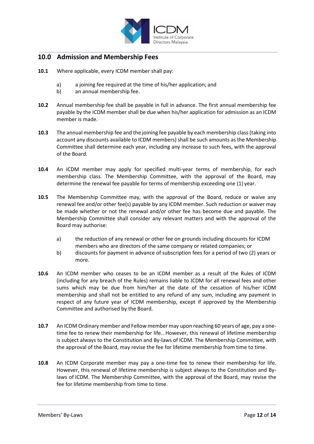

## **10.0 Admission and Membership Fees**

- **10.1** Where applicable, every ICDM member shall pay:
	- a) a joining fee required at the time of his/her application; and
	- b) an annual membership fee.
- **10.2** Annual membership fee shall be payable in full in advance. The first annual membership fee payable by the ICDM member shall be due when his/her application for admission as an ICDM member is made.
- **10.3** The annual membership fee and the joining fee payable by each membership class (taking into account any discounts available to ICDM members) shall be such amounts as the Membership Committee shall determine each year, including any increase to such fees, with the approval of the Board.
- **10.4** An ICDM member may apply for specified multi-year terms of membership, for each membership class. The Membership Committee, with the approval of the Board, may determine the renewal fee payable for terms of membership exceeding one (1) year.
- **10.5** The Membership Committee may, with the approval of the Board, reduce or waive any renewal fee and/or other fee(s) payable by any ICDM member. Such reduction or waiver may be made whether or not the renewal and/or other fee has become due and payable. The Membership Committee shall consider any relevant matters and with the approval of the Board may authorise:
	- a) the reduction of any renewal or other fee on grounds including discounts for ICDM members who are directors of the same company or related companies; or
	- b) discounts for payment in advance of subscription fees for a period of two (2) years or more.
- **10.6** An ICDM member who ceases to be an ICDM member as a result of the Rules of ICDM (including for any breach of the Rules) remains liable to ICDM for all renewal fees and other sums which may be due from him/her at the date of the cessation of his/her ICDM membership and shall not be entitled to any refund of any sum, including any payment in respect of any future year of ICDM membership, except if approved by the Membership Committee and authorised by the Board.
- **10.7** An ICDM Ordinary member and Fellow member may upon reaching 60 years of age, pay a onetime fee to renew their membership for life.. However, this renewal of lifetime membership is subject always to the Constitution and By-laws of ICDM. The Membership Committee, with the approval of the Board, may revise the fee for lifetime membership from time to time.
- **10.8** An ICDM Corporate member may pay a one-time fee to renew their membership for life. However, this renewal of lifetime membership is subject always to the Constitution and Bylaws of ICDM. The Membership Committee, with the approval of the Board, may revise the fee for lifetime membership from time to time.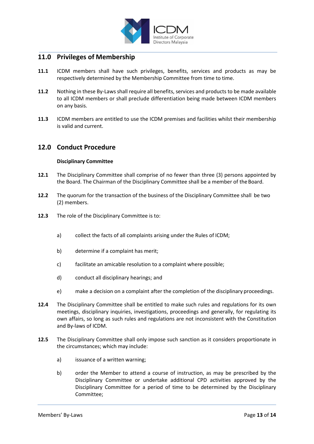

# **11.0 Privileges of Membership**

- **11.1** ICDM members shall have such privileges, benefits, services and products as may be respectively determined by the Membership Committee from time to time.
- **11.2** Nothing in these By-Laws shall require all benefits, services and products to be made available to all ICDM members or shall preclude differentiation being made between ICDM members on any basis.
- **11.3** ICDM members are entitled to use the ICDM premises and facilities whilst their membership is valid and current.

## **12.0 Conduct Procedure**

#### **Disciplinary Committee**

- **12.1** The Disciplinary Committee shall comprise of no fewer than three (3) persons appointed by the Board. The Chairman of the Disciplinary Committee shall be a member of the Board.
- **12.2** The quorum for the transaction of the business of the Disciplinary Committee shall be two (2) members.
- **12.3** The role of the Disciplinary Committee is to:
	- a) collect the facts of all complaints arising under the Rules of ICDM;
	- b) determine if a complaint has merit;
	- c) facilitate an amicable resolution to a complaint where possible;
	- d) conduct all disciplinary hearings; and
	- e) make a decision on a complaint after the completion of the disciplinary proceedings.
- **12.4** The Disciplinary Committee shall be entitled to make such rules and regulations for its own meetings, disciplinary inquiries, investigations, proceedings and generally, for regulating its own affairs, so long as such rules and regulations are not inconsistent with the Constitution and By-laws of ICDM.
- **12.5** The Disciplinary Committee shall only impose such sanction as it considers proportionate in the circumstances; which may include:
	- a) issuance of a written warning;
	- b) order the Member to attend a course of instruction, as may be prescribed by the Disciplinary Committee or undertake additional CPD activities approved by the Disciplinary Committee for a period of time to be determined by the Disciplinary Committee;